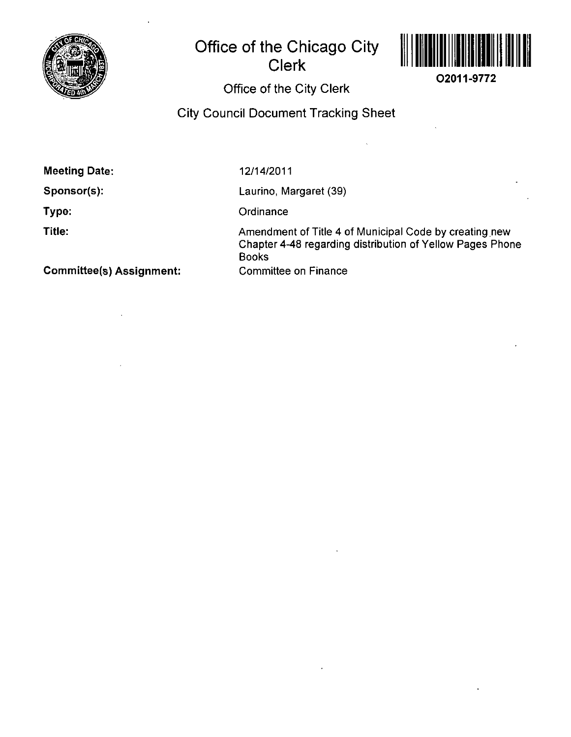

# **Office of the Chicago City Clerk**



**02011-9772** 

## Office of the City Clerk

City Council Document Tracking Sheet

**Meeting Date:** 

**Sponsor(s):** 

**Type:** 

**Title:** 

12/14/2011

Laurino, Margaret (39)

**Ordinance** 

Amendment of Title 4 of Municipal Code by creating new Chapter 4-48 regarding distribution of Yellow Pages Phone Books Committee on Finance

**Committee(s) Assignment:**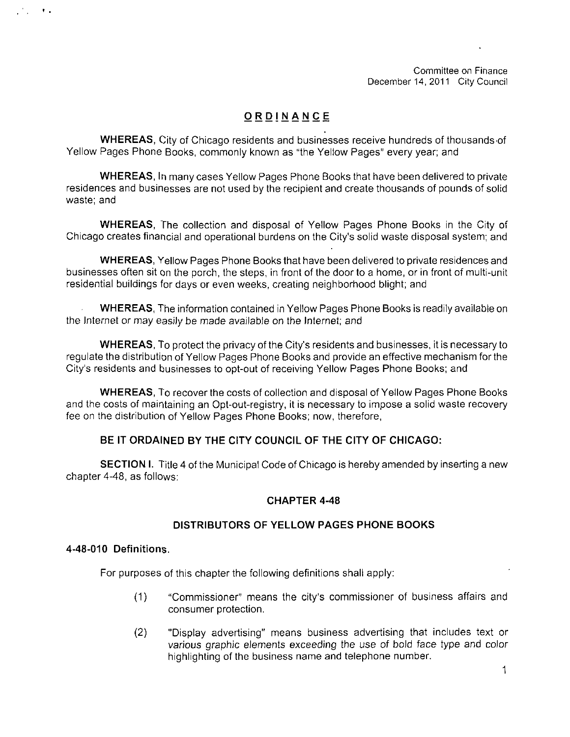Committee on Finance December 14, 2011 City Council

## **ORDINANC E**

WHEREAS, City of Chicago residents and businesses receive hundreds of thousands of Yellow Pages Phone Books, commonly known as "the Yellow Pages" every year; and

WHEREAS, In many cases Yellow Pages Phone Books that have been delivered to private residences and businesses are not used by the recipient and create thousands of pounds of solid waste; and

WHEREAS, The collection and disposal of Yellow Pages Phone Books in the City of Chicago creates financial and operational burdens on the City's solid waste disposal system; and

WHEREAS, Yellow Pages Phone Books that have been delivered to private residences and businesses often sit on the porch, the steps, in front of the door to a home, or in front of multi-unit residential buildings for days or even weeks, creating neighborhood blight; and

WHEREAS, The information contained in Yellow Pages Phone Books is readily available on the Internet or may easily be made available on the Internet; and

WHEREAS, To protect the privacy of the City's residents and businesses, it is necessary to regulate the distribution of Yellow Pages Phone Books and provide an effective mechanism forthe City's residents and businesses to opt-out of receiving Yellow Pages Phone Books; and

WHEREAS, To recover the costs of collection and disposal of Yellow Pages Phone Books and the costs of maintaining an Opt-out-registry, it is necessary to impose a solid waste recovery fee on the distribution of Yellow Pages Phone Books; now, therefore,

## **BE IT ORDAINED BY THE CITY COUNCIL OF THE CITY OF CHICAGO:**

SECTION I. Title 4 of the Municipal Code of Chicago is hereby amended by inserting a new chapter 4-48, as follows:

## **CHAPTER 4-48**

## **DISTRIBUTORS OF YELLOW PAGES PHONE BOOKS**

#### **4-48-010 Definitions.**

 $\mathbf{r}$  .

For purposes of this chapter the following definitions shall apply:

- (1) "Commissioner" means the city's commissioner of business affairs and consumer protection.
- (2) "Display advertising" means business advertising that includes text or various graphic elements exceeding the use of bold face type and color highlighting of the business name and telephone number.

1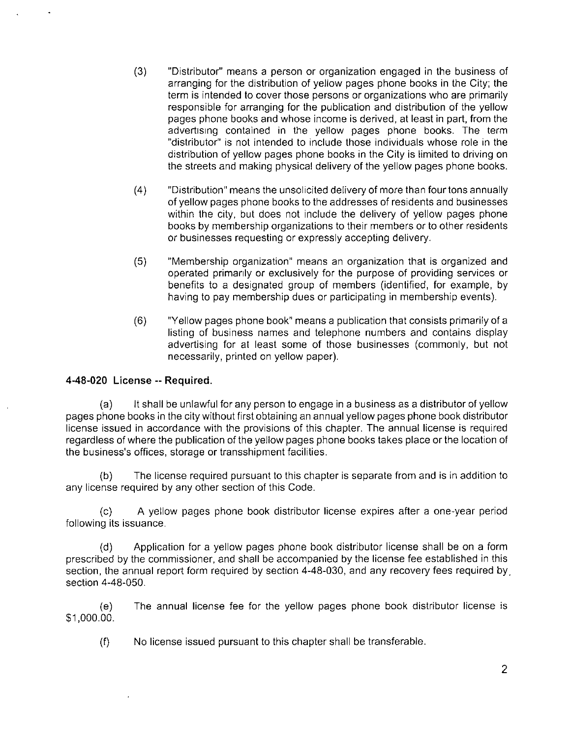- (3) "Distributor" means a person or organization engaged in the business of arranging for the distribution of yellow pages phone books in the City; the term is intended to cover those persons or organizations who are primarily responsible for arranging for the publication and distribution of the yellow pages phone books and whose income is derived, at least in part, from the advertising contained in the yellow pages phone books. The term "distributor" is not intended to include those individuals whose role in the distribution of yellow pages phone books in the City is limited to driving on the streets and making physical delivery of the yellow pages phone books.
- (4) "Distribution" means the unsolicited delivery of more than fourtons annually of yellow pages phone books to the addresses of residents and businesses within the city, but does not include the delivery of yellow pages phone books by membership organizations to their members or to other residents or businesses requesting or expressly accepting delivery.
- (5) "Membership organization" means an organization that is organized and operated primanly or exclusively for the purpose of providing services or benefits to a designated group of members (identified, for example, by having to pay membership dues or participating in membership events).
- (6) "Yellow pages phone book" means a publication that consists primarily of a listing of business names and telephone numbers and contains display advertising for at least some of those businesses (commonly, but not necessarily, printed on yellow paper).

## **4-48-020 License -- Required.**

(a) It shall be unlawful for any person to engage in a business as a distributor of yellow pages phone books in the city without first obtaining an annual yellow pages phone book distributor license issued in accordance with the provisions of this chapter. The annual license is required regardless of where the publication of the yellow pages phone books takes place or the location of the business's offices, storage or transshipment facilities.

(b) The license required pursuant to this chapter is separate from and is in addition to any license required by any other section of this Code.

(c) A yellow pages phone book distributor license expires after a one-year period following its issuance.

(d) Application for a yellow pages phone book distributor license shall be on a form prescribed by the commissioner, and shall be accompanied by the license fee established in this section, the annual report form required by section 4-48-030, and any recovery fees required by. section 4-48-050.

(e) The annual license fee for the yellow pages phone book distributor license is \$1,000.00.

(f) No license issued pursuant to this chapter shall be transferable.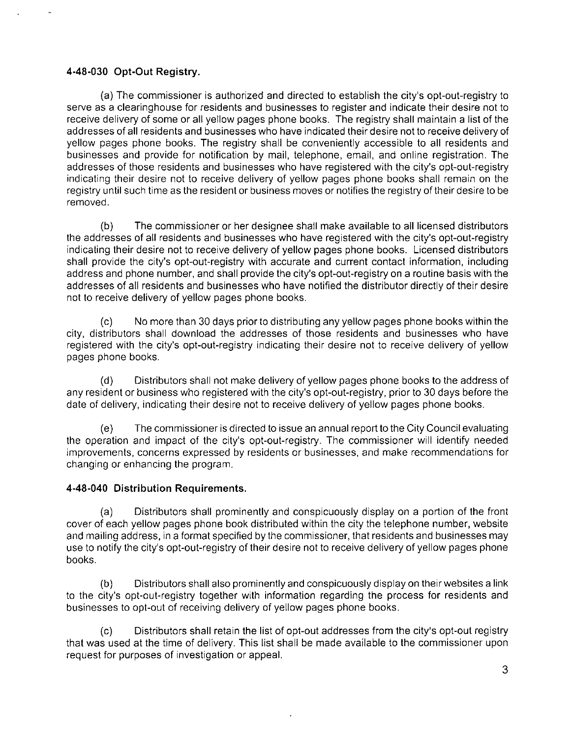## **4-48-030 Opt-Out Registry.**

(a) The commissioner is authorized and directed to establish the city's opt-out-registry to serve as a clearinghouse for residents and businesses to register and indicate their desire not to receive delivery of some or all yellow pages phone books. The registry shall maintain a list of the addresses of all residents and businesses who have indicated their desire not to receive delivery of yellow pages phone books. The registry shall be conveniently accessible to all residents and businesses and provide for notification by mail, telephone, email, and online registration. The addresses of those residents and businesses who have registered with the city's opt-out-registry indicating their desire not to receive delivery of yellow pages phone books shall remain on the registry until such time as the resident or business moves or notifies the registry of their desire to be removed.

(b) The commissioner or her designee shall make available to ail licensed distributors the addresses of all residents and businesses who have registered with the city's opt-out-registry indicating their desire not to receive delivery of yellow pages phone books. Licensed distributors shall provide the city's opt-out-registry with accurate and current contact information, including address and phone number, and shall provide the city's opt-out-registry on a routine basis with the addresses of all residents and businesses who have notified the distributor directly of their desire not to receive delivery of yellow pages phone books.

(c) No more than 30 days prior to distributing any yellow pages phone books within the city, distributors shall download the addresses of those residents and businesses who have registered with the city's opt-out-registry indicating their desire not to receive delivery of yellow pages phone books.

(d) Distributors shall not make delivery of yellow pages phone books to the address of any resident or business who registered with the city's opt-out-registry, prior to 30 days before the date of delivery, indicating their desire not to receive delivery of yellow pages phone books.

(e) The commissioner is directed to issue an annual report to the City Council evaluating the operation and impact of the city's opt-out-registry. The commissioner will identify needed improvements, concerns expressed by residents or businesses, and make recommendations for changing or enhancing the program.

## **4-48-040 Distribution Requirements.**

(a) Distributors shall prominently and conspicuously display on a portion of the front cover of each yellow pages phone book distributed within the city the telephone number, website and mailing address, in a format specified by the commissioner, that residents and businesses may use to notify the city's opt-out-registry of their desire not to receive delivery of yellow pages phone books.

(b) Distributors shall also prominently and conspicuously display on their websites a link to the city's opt-out-registry together with information regarding the process for residents and businesses to opt-out of receiving delivery of yellow pages phone books.

(c) Distributors shall retain the list of opt-out addresses from the city's opt-out registry that was used at the time of delivery. This list shall be made available to the commissioner upon request for purposes of investigation or appeal.